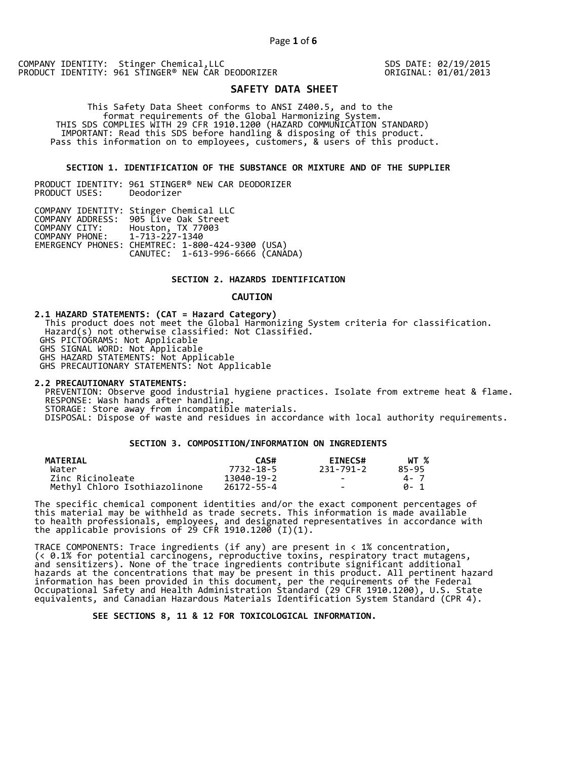COMPANY IDENTITY: Stinger Chemical,LLC PRODUCT IDENTITY: 961 STINGER® NEW CAR DEODORIZER

SDS DATE: 02/19/2015 ORIGINAL: 01/01/2013

# **SAFETY DATA SHEET**

 This Safety Data Sheet conforms to ANSI Z400.5, and to the format requirements of the Global Harmonizing System. THIS SDS COMPLIES WITH 29 CFR 1910.1200 (HAZARD COMMUNICATION STANDARD) IMPORTANT: Read this SDS before handling & disposing of this product. Pass this information on to employees, customers, & users of this product.

## **SECTION 1. IDENTIFICATION OF THE SUBSTANCE OR MIXTURE AND OF THE SUPPLIER**

PRODUCT IDENTITY: 961 STINGER® NEW CAR DEODORIZER PRODUCT USES:

|                               | COMPANY IDENTITY: Stinger Chemical LLC           |  |
|-------------------------------|--------------------------------------------------|--|
|                               | COMPANY ADDRESS: 905 Live Oak Street             |  |
| COMPANY CITY:                 | Houston, TX 77003                                |  |
| COMPANY PHONE: 1-713-227-1340 |                                                  |  |
|                               | EMERGENCY PHONES: CHEMTREC: 1-800-424-9300 (USA) |  |
|                               | CANUTEC: 1-613-996-6666 (CANADA)                 |  |

## **SECTION 2. HAZARDS IDENTIFICATION**

#### **CAUTION**

**2.1 HAZARD STATEMENTS: (CAT = Hazard Category)** This product does not meet the Global Harmonizing System criteria for classification. Hazard(s) not otherwise classified: Not Classified. GHS PICTOGRAMS: Not Applicable GHS SIGNAL WORD: Not Applicable GHS HAZARD STATEMENTS: Not Applicable GHS PRECAUTIONARY STATEMENTS: Not Applicable

**2.2 PRECAUTIONARY STATEMENTS:**  PREVENTION: Observe good industrial hygiene practices. Isolate from extreme heat & flame. RESPONSE: Wash hands after handling. STORAGE: Store away from incompatible materials. DISPOSAL: Dispose of waste and residues in accordance with local authority requirements.

# **SECTION 3. COMPOSITION/INFORMATION ON INGREDIENTS**

| <b>MATERIAL</b>               | CAS#       | <b>EINECS#</b> | WT %  |
|-------------------------------|------------|----------------|-------|
| Water                         | 7732-18-5  | 231-791-2      | 85-95 |
| Zinc Ricinoleate              | 13040-19-2 | $\sim$         | 4 - 7 |
| Methyl Chloro Isothiazolinone | 26172-55-4 | $\sim$         | A- 1  |

The specific chemical component identities and/or the exact component percentages of this material may be withheld as trade secrets. This information is made available to health professionals, employees, and designated representatives in accordance with the applicable provisions of 29 CFR 1910.1200̄ (I)(1).  $\overline{\phantom{a}}$ 

TRACE COMPONENTS: Trace ingredients (if any) are present in < 1% concentration, (< 0.1% for potential carcinogens, reproductive toxins, respiratory tract mutagens, and sensitizers). None of the trace ingredients contribute significant additional hazards at the concentrations that may be present in this product. All pertinent hazard information has been provided in this document, per the requirements of the Federal Occupational Safety and Health Administration Standard (29 CFR 1910.1200), U.S. State equivalents, and Canadian Hazardous Materials Identification System Standard (CPR 4).

 **SEE SECTIONS 8, 11 & 12 FOR TOXICOLOGICAL INFORMATION.**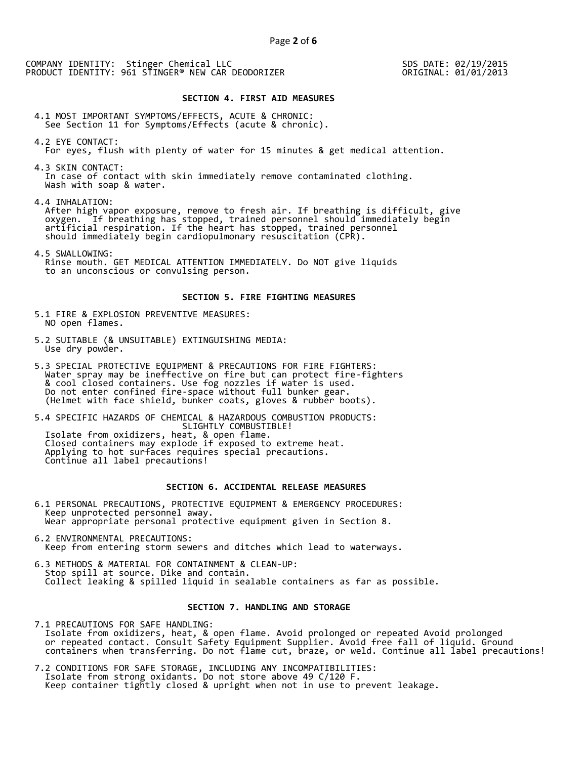COMPANY IDENTITY: Stinger Chemical LLC PRODUCT IDENTITY: 961 STINGER® NEW CAR DEODORIZER

SDS DATE: 02/19/2015 ORIGINAL: 01/01/2013

#### **SECTION 4. FIRST AID MEASURES**

4.1 MOST IMPORTANT SYMPTOMS/EFFECTS, ACUTE & CHRONIC: See Section 11 for Symptoms/Effects (acute & chronic).

- 4.2 EYE CONTACT: For eyes, flush with plenty of water for 15 minutes & get medical attention.
- 4.3 SKIN CONTACT: In case of contact with skin immediately remove contaminated clothing. Wash with soap & water.

4.4 INHALATION:

 After high vapor exposure, remove to fresh air. If breathing is difficult, give oxygen. If breathing has stopped, trained personnel should immediately begin artificial respiration. If the heart has stopped, trained personnel should immediately begin cardiopulmonary resuscitation (CPR).

4.5 SWALLOWING: Rinse mouth. GET MEDICAL ATTENTION IMMEDIATELY. Do NOT give liquids to an unconscious or convulsing person.

#### **SECTION 5. FIRE FIGHTING MEASURES**

- 5.1 FIRE & EXPLOSION PREVENTIVE MEASURES: NO open flames.
- 5.2 SUITABLE (& UNSUITABLE) EXTINGUISHING MEDIA: Use dry powder.
- 5.3 SPECIAL PROTECTIVE EQUIPMENT & PRECAUTIONS FOR FIRE FIGHTERS: Water spray may be ineffective on fire but can protect fire-fighters & cool closed containers. Use fog nozzles if water is used. Do not enter confined fire-space without full bunker gear. (Helmet with face shield, bunker coats, gloves & rubber boots).

5.4 SPECIFIC HAZARDS OF CHEMICAL & HAZARDOUS COMBUSTION PRODUCTS: SLIGHTLY COMBUSTIBLE! Isolate from oxidizers, heat, & open flame. Closed containers may explode if exposed to extreme heat. Applying to hot surfaces requires special precautions. Continue all label precautions!

# **SECTION 6. ACCIDENTAL RELEASE MEASURES**

- 6.1 PERSONAL PRECAUTIONS, PROTECTIVE EQUIPMENT & EMERGENCY PROCEDURES: Keep unprotected personnel away. Wear appropriate personal protective equipment given in Section 8.
- 6.2 ENVIRONMENTAL PRECAUTIONS: Keep from entering storm sewers and ditches which lead to waterways.
- 6.3 METHODS & MATERIAL FOR CONTAINMENT & CLEAN-UP: Stop spill at source. Dike and contain. Collect leaking & spilled liquid in sealable containers as far as possible.

# **SECTION 7. HANDLING AND STORAGE**

7.1 PRECAUTIONS FOR SAFE HANDLING: Isolate from oxidizers, heat, & open flame. Avoid prolonged or repeated Avoid prolonged or repeated contact. Consult Safety Equipment Supplier. Avoid free fall of liquid. Ground containers when transferring. Do not flame cut, braze, or weld. Continue all label precautions!

7.2 CONDITIONS FOR SAFE STORAGE, INCLUDING ANY INCOMPATIBILITIES: Isolate from strong oxidants. Do not store above 49 C/120 F. Keep container tightly closed & upright when not in use to prevent leakage.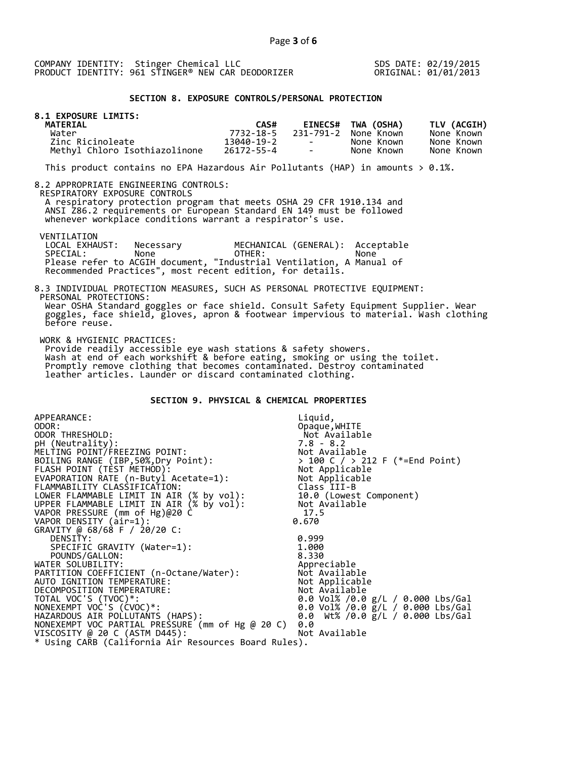SDS DATE: 02/19/2015 ORIGINAL: 01/01/2013

## **SECTION 8. EXPOSURE CONTROLS/PERSONAL PROTECTION**

| 8.1 EXPOSURE LIMITS:<br><b>MATERIAL</b> | CAS#       |                          | EINECS# TWA (OSHA)   | TLV (ACGIH) |
|-----------------------------------------|------------|--------------------------|----------------------|-------------|
| Water                                   | 7732-18-5  |                          | 231-791-2 None Known | None Known  |
| Zinc Ricinoleate                        | 13040-19-2 | <b>Contract Contract</b> | None Known           | None Known  |
| Methyl Chloro Isothiazolinone           | 26172-55-4 | <b>Contract Contract</b> | None Known           | None Known  |

This product contains no EPA Hazardous Air Pollutants (HAP) in amounts  $> 0.1\%$ .

#### 8.2 APPROPRIATE ENGINEERING CONTROLS:

RESPIRATORY EXPOSURE CONTROLS

 A respiratory protection program that meets OSHA 29 CFR 1910.134 and ANSI Z86.2 requirements or European Standard EN 149 must be followed whenever workplace conditions warrant a respirator's use.

VENTILATION<br>LOCAL EXHAUST: LOCAL EXHAUST: Necessary MECHANICAL (GENERAL): Acceptable<br>SPECIAL: None OTHER: None SPECIAL: None OTHER: None Please refer to ACGIH document, "Industrial Ventilation, A Manual of Recommended Practices", most recent edition, for details.

#### 8.3 INDIVIDUAL PROTECTION MEASURES, SUCH AS PERSONAL PROTECTIVE EQUIPMENT: PERSONAL PROTECTIONS: Wear OSHA Standard goggles or face shield. Consult Safety Equipment Supplier. Wear goggles, face shield, gloves, apron & footwear impervious to material. Wash clothing before reuse.

WORK & HYGIENIC PRACTICES:

 Provide readily accessible eye wash stations & safety showers. Wash at end of each workshift & before eating, smoking or using the toilet. Promptly remove clothing that becomes contaminated. Destroy contaminated leather articles. Launder or discard contaminated clothing.

# **SECTION 9. PHYSICAL & CHEMICAL PROPERTIES**

| APPEARANCE:                                          | Liquid,                                        |
|------------------------------------------------------|------------------------------------------------|
| ODOR:                                                | Opaque, WHITE                                  |
| ODOR THRESHOLD:                                      | Not Available                                  |
| pH (Neutrality):                                     | $7.8 - 8.2$                                    |
| MELTING POINT/FREEZING POINT:                        | Not Available                                  |
| BOILING RANGE (IBP, 50%, Dry Point):                 | > 100 C / > 212 F (*=End Point)                |
| FLASH POINT (TÈST METHOD):                           | > 100 C / > ∠i∠<br>Not Applicable<br>Armicable |
| EVAPORATION RATE (n-Butyl Acetate=1):                | Not Applicable                                 |
| FLAMMABILITY CLASSIFICATION:                         | Class III-B                                    |
| LOWER FLAMMABLE LIMIT IN AIR (% by vol):             | 10.0 (Lowest Component)                        |
| UPPER FLAMMABLE LIMIT IN AIR (% by vol):             | Not Available                                  |
| VAPOR PRESSURE (mm of Hg)@20 C                       | 17.5                                           |
| VAPOR DENSITY (air=1):                               | 0.670                                          |
| GRAVITY @ 68/68 F / 20/20 C:                         |                                                |
| DENSITY:                                             | 0.999                                          |
| SPECIFIC GRAVITY (Water=1):                          | 1.000                                          |
| POUNDS/GALLON:                                       | 8.330                                          |
| WATER SOLUBILITY:                                    | Appreciable                                    |
| PARTITION COEFFICIENT (n-Octane/Water):              | Not Available                                  |
| AUTO IGNITION TEMPERATURE:                           | Not Applicable                                 |
| DECOMPOSITION TEMPERATURE:                           | Not Available                                  |
| TOTAL VOC'S (TVOC)*:                                 | 0.0 Vol% /0.0 g/L / 0.000 Lbs/Gal              |
| NONEXEMPT VOC'S (CVOC)*:                             | 0.0 Vol% /0.0 g/L / 0.000 Lbs/Gal              |
| HAZARDOUS AIR POLLUTANTS (HAPS):                     | 0.0 Wt% /0.0 g/L / 0.000 Lbs/Gal               |
| NONEXEMPT VOC PARTIAL PRESSURE (mm of Hg @ 20 C)     | 0.0                                            |
| VISCOSITY @ 20 C (ASTM D445):                        | Not Available                                  |
| * Using CARB (California Air Resources Board Rules). |                                                |
|                                                      |                                                |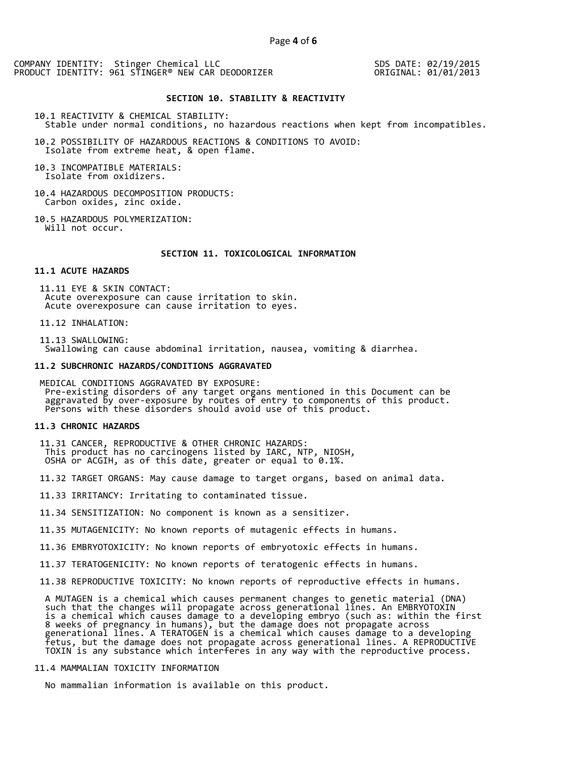COMPANY IDENTITY: Stinger Chemical LLC PRODUCT IDENTITY: 961 STINGER® NEW CAR DEODORIZER SDS DATE: 02/19/2015 ORIGINAL: 01/01/2013

#### **SECTION 10. STABILITY & REACTIVITY**

10.1 REACTIVITY & CHEMICAL STABILITY: Stable under normal conditions, no hazardous reactions when kept from incompatibles.

10.2 POSSIBILITY OF HAZARDOUS REACTIONS & CONDITIONS TO AVOID: Isolate from extreme heat, & open flame.

10.3 INCOMPATIBLE MATERIALS: Isolate from oxidizers.

10.4 HAZARDOUS DECOMPOSITION PRODUCTS: Carbon oxides, zinc oxide.

10.5 HAZARDOUS POLYMERIZATION: Will not occur.

#### **SECTION 11. TOXICOLOGICAL INFORMATION**

#### **11.1 ACUTE HAZARDS**

 11.11 EYE & SKIN CONTACT: Acute overexposure can cause irritation to skin. Acute overexposure can cause irritation to eyes.

11.12 INHALATION:

 11.13 SWALLOWING: Swallowing can cause abdominal irritation, nausea, vomiting & diarrhea.

#### **11.2 SUBCHRONIC HAZARDS/CONDITIONS AGGRAVATED**

 MEDICAL CONDITIONS AGGRAVATED BY EXPOSURE: Pre-existing disorders of any target organs mentioned in this Document can be aggravated by over-exposure by routes of entry to components of this product. Persons with these disorders should avoid use of this product.

#### **11.3 CHRONIC HAZARDS**

 11.31 CANCER, REPRODUCTIVE & OTHER CHRONIC HAZARDS: This product has no carcinogens listed by IARC, NTP, NIOSH, OSHA or ACGIH, as of this date, greater or equal to 0.1%.

11.32 TARGET ORGANS: May cause damage to target organs, based on animal data.

11.33 IRRITANCY: Irritating to contaminated tissue.

11.34 SENSITIZATION: No component is known as a sensitizer.

11.35 MUTAGENICITY: No known reports of mutagenic effects in humans.

11.36 EMBRYOTOXICITY: No known reports of embryotoxic effects in humans.

11.37 TERATOGENICITY: No known reports of teratogenic effects in humans.

11.38 REPRODUCTIVE TOXICITY: No known reports of reproductive effects in humans.

 A MUTAGEN is a chemical which causes permanent changes to genetic material (DNA) such that the changes will propagate across generational lines. An EMBRYOTOXIN is a chemical which causes damage to a developing embryo (such as: within the first 8 weeks of pregnancy in humans), but the damage does not propagate across generational lines. A TERATOGEN is a chemical which causes damage to a developing fetus, but the damage does not propagate across generational lines. A REPRODUCTIVE TOXIN is any substance which interferes in any way with the reproductive process.

# 11.4 MAMMALIAN TOXICITY INFORMATION

No mammalian information is available on this product.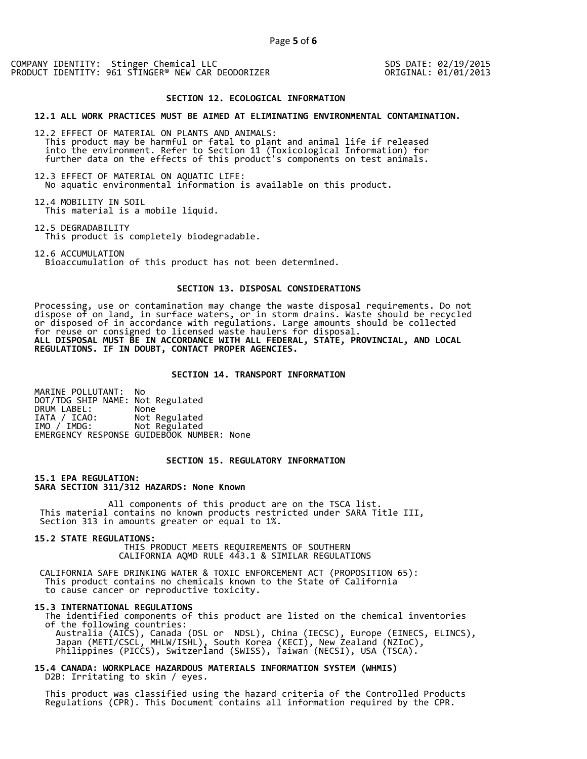COMPANY IDENTITY: Stinger Chemical LLC PRODUCT IDENTITY: 961 STINGER® NEW CAR DEODORIZER

SDS DATE: 02/19/2015 ORIGINAL: 01/01/2013

#### **SECTION 12. ECOLOGICAL INFORMATION**

#### **12.1 ALL WORK PRACTICES MUST BE AIMED AT ELIMINATING ENVIRONMENTAL CONTAMINATION.**

12.2 EFFECT OF MATERIAL ON PLANTS AND ANIMALS: This product may be harmful or fatal to plant and animal life if released into the environment. Refer to Section 11 (Toxicological Information) for further data on the effects of this product's components on test animals.

12.3 EFFECT OF MATERIAL ON AQUATIC LIFE: No aquatic environmental information is available on this product.

12.4 MOBILITY IN SOIL This material is a mobile liquid.

12.5 DEGRADABILITY This product is completely biodegradable.

12.6 ACCUMULATION Bioaccumulation of this product has not been determined.

#### **SECTION 13. DISPOSAL CONSIDERATIONS**

Processing, use or contamination may change the waste disposal requirements. Do not dispose of on land, in surface waters, or in storm drains. Waste should be recycled or disposed of in accordance with regulations. Large amounts should be collected for reuse or consigned to licensed waste haulers for disposal. **ALL DISPOSAL MUST BE IN ACCORDANCE WITH ALL FEDERAL, STATE, PROVINCIAL, AND LOCAL REGULATIONS. IF IN DOUBT, CONTACT PROPER AGENCIES.** 

#### **SECTION 14. TRANSPORT INFORMATION**

MARINE POLLUTANT: No DOT/TDG SHIP NAME: Not Regulated DRUM LABEL:<br>IATA / ICAO: IATA / ICAO: Not Regulated<br>IMO / IMDG: Not Regulated Not Regulated EMERGENCY RESPONSE GUIDEBOOK NUMBER: None

## **SECTION 15. REGULATORY INFORMATION**

**15.1 EPA REGULATION: SARA SECTION 311/312 HAZARDS: None Known** 

All components of this product are on the TSCA list. This material contains no known products restricted under SARA Title III, Section 313 in amounts greater or equal to 1%.

**15.2 STATE REGULATIONS:**

 THIS PRODUCT MEETS REQUIREMENTS OF SOUTHERN CALIFORNIA AQMD RULE 443.1 & SIMILAR REGULATIONS

 CALIFORNIA SAFE DRINKING WATER & TOXIC ENFORCEMENT ACT (PROPOSITION 65): This product contains no chemicals known to the State of California to cause cancer or reproductive toxicity.

#### **15.3 INTERNATIONAL REGULATIONS**

 The identified components of this product are listed on the chemical inventories of the following countries: Australia (AICS), Canada (DSL or NDSL), China (IECSC), Europe (EINECS, ELINCS), Japan (METI/CSCL, MHLW/ISHL), South Korea (KECI), New Zealand (NZIoC), Philippines (PICCS), Switzerland (SWISS), Taiwan (NECSI), USA (TSCA).

**15.4 CANADA: WORKPLACE HAZARDOUS MATERIALS INFORMATION SYSTEM (WHMIS)**  D2B: Irritating to skin / eyes.

 This product was classified using the hazard criteria of the Controlled Products Regulations (CPR). This Document contains all information required by the CPR.